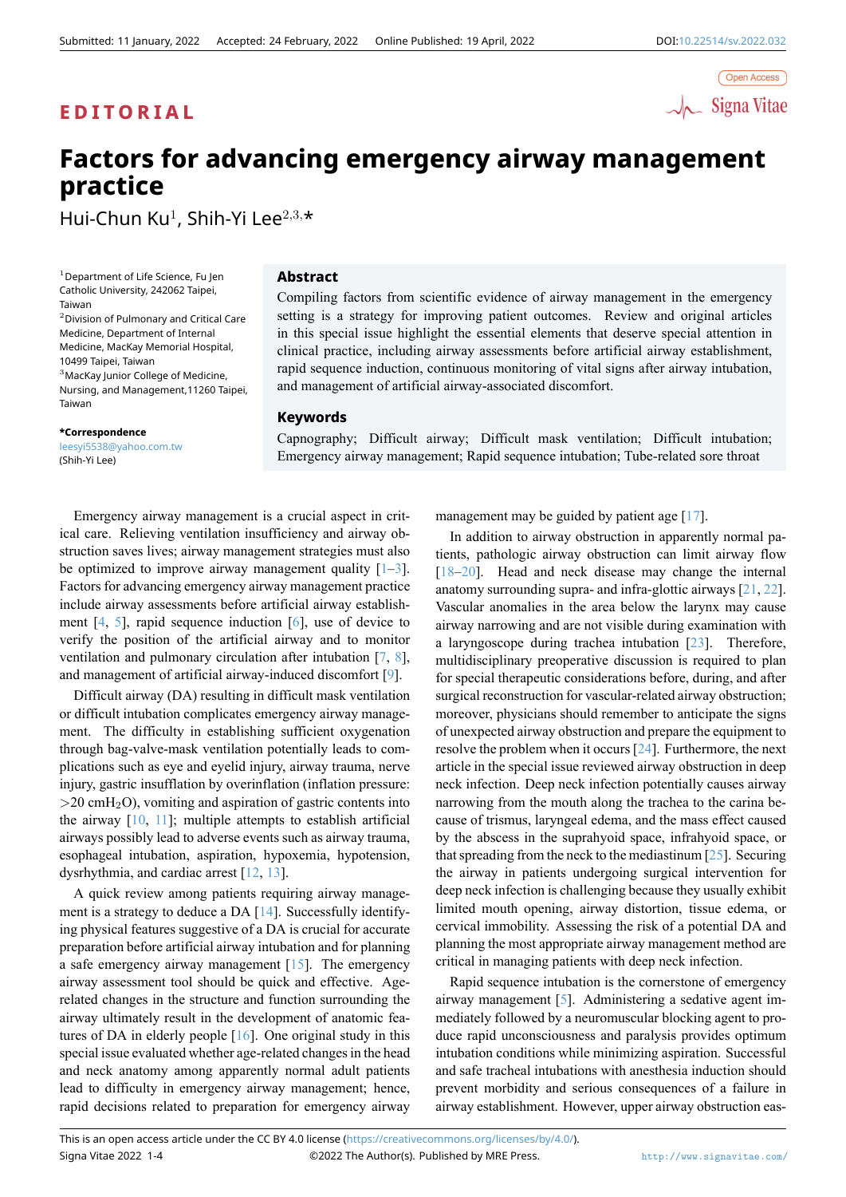

# **Factors for advancing emergency airway management practice**

Hui-Chun Ku<sup>1</sup> , Shih-Yi Lee<sup>2</sup>*,*3*,*\*

 $<sup>1</sup>$  Department of Life Science, Fu Jen</sup> Catholic University, 242062 Taipei, Taiwan

<sup>2</sup>Division of Pulmonary and Critical Care Medicine, Department of Internal Medicine, MacKay Memorial Hospital, 10499 Taipei, Taiwan <sup>3</sup>MacKay Junior College of Medicine, Nursing, and Management,11260 Taipei, Taiwan

**\*Correspondence**

leesyi5538@yahoo.com.tw (Shih-Yi Lee)

### **Abstract**

Compiling factors from scientific evidence of airway management in the emergency setting is a strategy for improving patient outcomes. Review and original articles in this special issue highlight the essential elements that deserve special attention in clinical practice, including airway assessments before artificial airway establishment, rapid sequence induction, continuous monitoring of vital signs after airway intubation, and management of artificial airway-associated discomfort.

## **Keywords**

Capnography; Difficult airway; Difficult mask ventilation; Difficult intubation; Emergency airway management; Rapid sequence intubation; Tube-related sore throat

Emergency airway management is a crucial aspect in critical care. Relieving ventilation insufficiency and airway obstruction saves lives; airway management strategies must also be optimized to improve airway management quality  $[1-3]$ . Factors for advancing emergency airway management practice include airway assessments before artificial airway establishment  $[4, 5]$ , rapid sequence induction  $[6]$ , use of device to verify the position of the artificial airway and to m[on](#page-1-0)i[to](#page-1-1)r ventilation and pulmonary circulation after intubation [7, 8], and management of artificial airway-induced discomfort [9].

Diff[ic](#page-1-2)u[lt](#page-2-0) airway (DA) resulting in diffi[cu](#page-2-1)lt mask ventilation or difficult intubation complicates emergency airway management. The difficulty in establishing sufficient oxyge[na](#page-2-2)t[io](#page-2-3)n through bag-valve-mask ventilation potentially leads toc[om](#page-2-4)plications such as eye and eyelid injury, airway trauma, nerve injury, gastric insufflation by overinflation (inflation pressure: *>*20 cmH2O), vomiting and aspiration of gastric contents into the airway  $[10, 11]$ ; multiple attempts to establish artificial airways possibly lead to adverse events such as airway trauma, esophageal intubation, aspiration, hypoxemia, hypotension, dysrhythmia, and cardiac arrest [12, 13].

A quickr[evi](#page-2-5)e[w](#page-2-6) among patients requiring airway management is a strategy to deduce a DA [14]. Successfully identifying physical features suggestive of a DA is crucial for accurate preparation before artificial airw[ay i](#page-2-7)[ntub](#page-2-8)ation and for planning a safe emergency airway management  $[15]$ . The emergency airway assessment tool should be [qui](#page-2-9)ck and effective. Agerelated changes in the structure and function surrounding the airway ultimately result in the development of anatomic features of DA in elderly people [16]. One [ori](#page-2-10)ginal study in this special issue evaluated whether age-related changes in the head and neck anatomy among apparently normal adult patients lead to difficulty in emergency airway management; hence, rapid decisions related to pre[para](#page-2-11)tion for emergency airway management may be guided by patient age [17].

In addition to airway obstruction in apparently normal patients, pathologic airway obstruction can limit airway flow [18–20]. Head and neck disease may change the internal anatomy surrounding supra- and infra-glotti[c ai](#page-2-12)rways [21, 22]. Vascular anomalies in the area below the larynx may cause airway narrowing and are not visible during examination with [a la](#page-2-13)[ryn](#page-2-14)goscope during trachea intubation [23]. Therefore, multidisciplinary preoperative discussion is required [to](#page-2-15) [pla](#page-2-16)n for special therapeutic considerations before, during, and after surgical reconstruction for vascular-related airway obstruction; moreover, physicians should remember to a[ntic](#page-2-17)ipate the signs of unexpected airway obstruction and prepare the equipment to resolve the problem when it occurs [24]. Furthermore, the next article in the special issue reviewed airway obstruction in deep neck infection. Deep neck infection potentially causes airway narrowing from the mouth along the trachea to the carina because of trismus, laryngeal edema, [and](#page-2-18) the mass effect caused by the abscess in the suprahyoid space, infrahyoid space, or that spreading from the neck to the mediastinum  $[25]$ . Securing the airway in patients undergoing surgical intervention for deep neck infection is challenging because they usually exhibit limited mouth opening, airway distortion, tissue edema, or cervical immobility. Assessing the risk of a pot[ent](#page-2-19)ial DA and planning the most appropriate airway management method are critical in managing patients with deep neck infection.

Rapid sequence intubation is the cornerstone of emergency airway management [5]. Administering a sedative agent immediately followed by a neuromuscular blocking agent to produce rapid unconsciousness and paralysis provides optimum intubation conditions while minimizing aspiration. Successful and safe tracheal intu[ba](#page-2-0)tions with anesthesia induction should prevent morbidity and serious consequences of a failure in airway establishment. However, upper airway obstruction eas-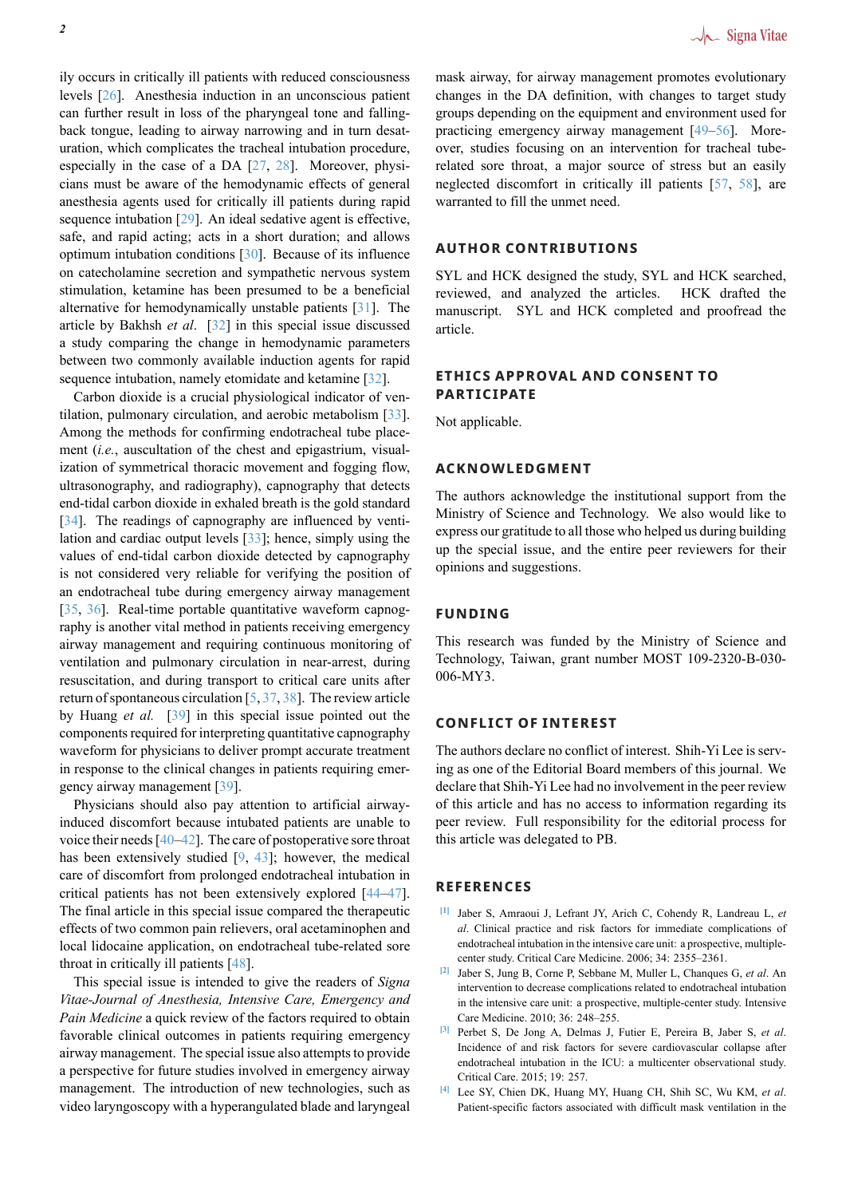ily occurs in critically ill patients with reduced consciousness levels [26]. Anesthesia induction in an unconscious patient can further result in loss of the pharyngeal tone and fallingback tongue, leading to airway narrowing and in turn desaturation, which complicates the tracheal intubation procedure, especia[lly](#page-2-20) in the case of a DA [27, 28]. Moreover, physicians must be aware of the hemodynamic effects of general anesthesia agents used for critically ill patients during rapid sequence intubation [29]. An ideal sedative agent is effective, safe, and rapid acting; acts in a [sh](#page-2-21)o[rt d](#page-2-22)uration; and allows optimum intubation conditions [30]. Because of its influence on catecholamine secretion and sympathetic nervous system stimulation, ketamin[e h](#page-2-23)as been presumed to be a beneficial alternative for hemodynamically unstable patients [31]. The article by Bakhsh *et al*. [32] i[n th](#page-2-24)is special issue discussed a study comparing the change in hemodynamic parameters between two commonly available induction agents for rapid sequence intubation, namely etomidate and ketamin[e \[3](#page-2-25)2].

Carbon dioxide is a cru[cial](#page-2-26) physiological indicator of ventilation, pulmonary circulation, and aerobic metabolism [33]. Among the methods for confirming endotracheal tube placement (*i.e.*, auscultation of the chest and epigastrium, [vi](#page-2-26)sualization of symmetrical thoracic movement and fogging flow, ultrasonography, and radiography), capnography that de[tect](#page-2-27)s end-tidal carbon dioxide in exhaled breath is the gold standard [34]. The readings of capnography are influenced by ventilation and cardiac output levels [33]; hence, simply using the values of end-tidal carbon dioxide detected by capnography is not considered very reliable for verifying the position of [an e](#page-2-28)ndotracheal tube during emergency airway management [35, 36]. Real-time portable qu[ant](#page-2-27)itative waveform capnography is another vital method in patients receiving emergency airway management and requiring continuous monitoring of ventilation and pulmonary circulation in near-arrest, during [resu](#page-2-29)[scit](#page-2-30)ation, and during transport to critical care units after return of spontaneous circulation [5, 37, 38]. The review article by Huang *et al.* [39] in this special issue pointed out the components required for interpreting quantitative capnography waveform for physicians to deliver prompt accurate treatment in response to the clinical change[s](#page-2-0)i[n p](#page-2-31)[atie](#page-2-32)nts requiring emergency airway mana[gem](#page-2-33)ent [39].

Physicians should also pay attention to artificial airwayinduced discomfort because intubated patients are unable to voice their needs  $[40-42]$ . The care of postoperative sore throat has been extensively studi[ed](#page-2-33) [9, 43]; however, the medical care of discomfort from prolonged endotracheal intubation in critical patients has not been extensively explored [44–47]. The final articlei[n th](#page-2-34)[is s](#page-2-35)pecial issue compared the therapeutic effects of two common pain rel[iev](#page-2-4)[ers](#page-2-36), oral acetaminophen and local lidocaine application, on endotracheal tube-related sore throat in critically ill patients [48].

This special issue is intended to give the readers of *Signa Vitae-Journal of Anesthesia, Intensive Care, Emergency and Pain Medicine* a quick review of the factors required to obtain favorable clinical outcomesi[n p](#page-3-0)atients requiring emergency airway management. The special issue also attempts to provide a perspective for future studies involved in emergency airway management. The introduction of new technologies, such as video laryngoscopy with a hyperangulated blade and laryngeal mask airway, for airway management promotes evolutionary changes in the DA definition, with changes to target study groups depending on the equipment and environment used for practicing emergency airway management [49–56]. Moreover, studies focusing on an intervention for tracheal tuberelated sore throat, a major source of stress but an easily neglected discomfort in critically ill patients [57, 58], are warranted to fill the unmet need.

#### **AUTHOR CONTRIBUTIONS**

SYL and HCK designed the study, SYL and HCK searched, reviewed, and analyzed the articles. HCK drafted the manuscript. SYL and HCK completed and proofread the article.

#### **ETHICS APPROVAL AND CONSENT TO PARTICIPATE**

Not applicable.

#### **ACKNOWLEDGMENT**

The authors acknowledge the institutional support from the Ministry of Science and Technology. We also would like to express our gratitude to all those who helped us during building up the special issue, and the entire peer reviewers for their opinions and suggestions.

#### **FUNDING**

This research was funded by the Ministry of Science and Technology, Taiwan, grant number MOST 109-2320-B-030- 006-MY3.

#### **CONFLICT OF INTEREST**

The authors declare no conflict of interest. Shih-Yi Lee is serving as one of the Editorial Board members of this journal. We declare that Shih-Yi Lee had no involvement in the peer review of this article and has no access to information regarding its peer review. Full responsibility for the editorial process for this article was delegated to PB.

#### **REFERENCES**

- **[1]** Jaber S, Amraoui J, Lefrant JY, Arich C, Cohendy R, Landreau L, *et al*. Clinical practice and risk factors for immediate complications of endotracheal intubation in the intensive care unit: a prospective, multiplecenter study. Critical Care Medicine. 2006; 34: 2355–2361.
- <span id="page-1-0"></span>**[2]** Jaber S, Jung B, Corne P, Sebbane M, Muller L, Chanques G, *et al*. An intervention to decrease complications related to endotracheal intubation in the intensive care unit: a prospective, multiple-center study. Intensive Care Medicine. 2010; 36: 248–255.
- **[3]** Perbet S, De Jong A, Delmas J, Futier E, Pereira B, Jaber S, *et al*. Incidence of and risk factors for severe cardiovascular collapse after endotracheal intubation in the ICU: a multicenter observational study. Critical Care. 2015; 19: 257.
- <span id="page-1-2"></span><span id="page-1-1"></span>**[4]** Lee SY, Chien DK, Huang MY, Huang CH, Shih SC, Wu KM, *et al*. Patient-specific factors associated with difficult mask ventilation in the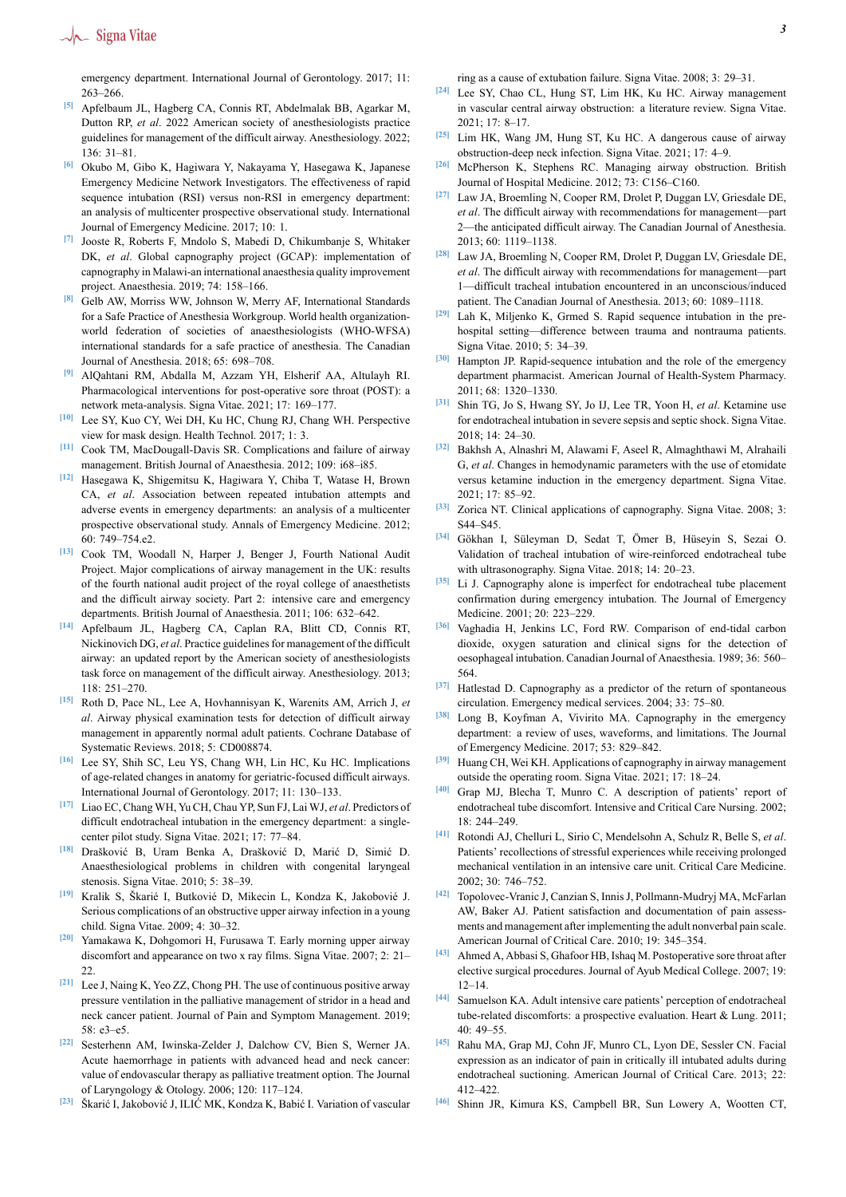## $\sqrt{\phantom{a}}$  Signa Vitae

emergency department. International Journal of Gerontology. 2017; 11: 263–266.

- <span id="page-2-0"></span>**[5]** Apfelbaum JL, Hagberg CA, Connis RT, Abdelmalak BB, Agarkar M, Dutton RP, *et al*. 2022 American society of anesthesiologists practice guidelines for management of the difficult airway. Anesthesiology. 2022;  $136 \cdot 31 - 81$
- <span id="page-2-1"></span>**[6]** Okubo M, Gibo K, Hagiwara Y, Nakayama Y, Hasegawa K, Japanese Emergency Medicine Network Investigators. The effectiveness of rapid sequence intubation (RSI) versus non-RSI in emergency department: an analysis of multicenter prospective observational study. International Journal of Emergency Medicine. 2017; 10: 1.
- <span id="page-2-2"></span>**[7]** Jooste R, Roberts F, Mndolo S, Mabedi D, Chikumbanje S, Whitaker DK, *et al*. Global capnography project (GCAP): implementation of capnography in Malawi-an international anaesthesia quality improvement project. Anaesthesia. 2019; 74: 158–166.
- <span id="page-2-3"></span>**[8]** Gelb AW, Morriss WW, Johnson W, Merry AF, International Standards for a Safe Practice of Anesthesia Workgroup. World health organizationworld federation of societies of anaesthesiologists (WHO-WFSA) international standards for a safe practice of anesthesia. The Canadian Journal of Anesthesia. 2018; 65: 698–708.
- <span id="page-2-4"></span>**[9]** AlQahtani RM, Abdalla M, Azzam YH, Elsherif AA, Altulayh RI. Pharmacological interventions for post-operative sore throat (POST): a network meta-analysis. Signa Vitae. 2021; 17: 169–177.
- <span id="page-2-5"></span>**[10]** Lee SY, Kuo CY, Wei DH, Ku HC, Chung RJ, Chang WH. Perspective view for mask design. Health Technol. 2017; 1: 3.
- <span id="page-2-6"></span>**[11]** Cook TM, MacDougall-Davis SR. Complications and failure of airway management. British Journal of Anaesthesia. 2012; 109: i68–i85.
- <span id="page-2-7"></span>**[12]** Hasegawa K, Shigemitsu K, Hagiwara Y, Chiba T, Watase H, Brown CA, *et al*. Association between repeated intubation attempts and adverse events in emergency departments: an analysis of a multicenter prospective observational study. Annals of Emergency Medicine. 2012; 60: 749–754.e2.
- <span id="page-2-8"></span>**[13]** Cook TM, Woodall N, Harper J, Benger J, Fourth National Audit Project. Major complications of airway management in the UK: results of the fourth national audit project of the royal college of anaesthetists and the difficult airway society. Part 2: intensive care and emergency departments. British Journal of Anaesthesia. 2011; 106: 632–642.
- <span id="page-2-9"></span>**[14]** Apfelbaum JL, Hagberg CA, Caplan RA, Blitt CD, Connis RT, Nickinovich DG, *et al*. Practice guidelines for management of the difficult airway: an updated report by the American society of anesthesiologists task force on management of the difficult airway. Anesthesiology. 2013; 118: 251–270.
- <span id="page-2-10"></span>**[15]** Roth D, Pace NL, Lee A, Hovhannisyan K, Warenits AM, Arrich J, *et al*. Airway physical examination tests for detection of difficult airway management in apparently normal adult patients. Cochrane Database of Systematic Reviews. 2018; 5: CD008874.
- <span id="page-2-11"></span>**[16]** Lee SY, Shih SC, Leu YS, Chang WH, Lin HC, Ku HC. Implications of age-related changes in anatomy for geriatric-focused difficult airways. International Journal of Gerontology. 2017; 11: 130–133.
- <span id="page-2-12"></span>**[17]** Liao EC, Chang WH, Yu CH, Chau YP, Sun FJ, Lai WJ, *et al*. Predictors of difficult endotracheal intubation in the emergency department: a singlecenter pilot study. Signa Vitae. 2021; 17: 77–84.
- <span id="page-2-13"></span>**[18]** Drašković B, Uram Benka A, Drašković D, Marić D, Simić D. Anaesthesiological problems in children with congenital laryngeal stenosis. Signa Vitae. 2010; 5: 38–39.
- **[19]** Kralik S, Škarié I, Butkovié D, Mikecin L, Kondza K, Jakobovié J. Serious complications of an obstructive upper airway infection in a young child. Signa Vitae. 2009; 4: 30–32.
- <span id="page-2-14"></span>**[20]** Yamakawa K, Dohgomori H, Furusawa T. Early morning upper airway discomfort and appearance on two x ray films. Signa Vitae. 2007; 2: 21– 22.
- <span id="page-2-15"></span>**[21]** Lee J, Naing K, Yeo ZZ, Chong PH. The use of continuous positive arway pressure ventilation in the palliative management of stridor in a head and neck cancer patient. Journal of Pain and Symptom Management. 2019; 58: e3–e5.
- <span id="page-2-16"></span>**[22]** Sesterhenn AM, Iwinska-Zelder J, Dalchow CV, Bien S, Werner JA. Acute haemorrhage in patients with advanced head and neck cancer: value of endovascular therapy as palliative treatment option. The Journal of Laryngology & Otology. 2006; 120: 117–124.
- <span id="page-2-17"></span>**[23]** Škarić I, Jakobović J, ILIĆ MK, Kondza K, Babić I. Variation of vascular

ring as a cause of extubation failure. Signa Vitae. 2008; 3: 29–31.

- <span id="page-2-18"></span>**[24]** Lee SY, Chao CL, Hung ST, Lim HK, Ku HC. Airway management in vascular central airway obstruction: a literature review. Signa Vitae. 2021; 17: 8–17.
- <span id="page-2-19"></span>**[25]** Lim HK, Wang JM, Hung ST, Ku HC. A dangerous cause of airway obstruction-deep neck infection. Signa Vitae. 2021; 17: 4–9.
- <span id="page-2-20"></span>**[26]** McPherson K, Stephens RC. Managing airway obstruction. British Journal of Hospital Medicine. 2012; 73: C156–C160.
- <span id="page-2-21"></span>**[27]** Law JA, Broemling N, Cooper RM, Drolet P, Duggan LV, Griesdale DE, *et al*. The difficult airway with recommendations for management—part 2—the anticipated difficult airway. The Canadian Journal of Anesthesia. 2013; 60: 1119–1138.
- <span id="page-2-22"></span>**[28]** Law JA, Broemling N, Cooper RM, Drolet P, Duggan LV, Griesdale DE, *et al*. The difficult airway with recommendations for management—part 1—difficult tracheal intubation encountered in an unconscious/induced patient. The Canadian Journal of Anesthesia. 2013; 60: 1089–1118.
- <span id="page-2-23"></span>**[29]** Lah K, Miljenko K, Grmed S. Rapid sequence intubation in the prehospital setting—difference between trauma and nontrauma patients. Signa Vitae. 2010; 5: 34–39.
- <span id="page-2-24"></span>**[30]** Hampton JP. Rapid-sequence intubation and the role of the emergency department pharmacist. American Journal of Health-System Pharmacy. 2011; 68: 1320–1330.
- <span id="page-2-25"></span>**[31]** Shin TG, Jo S, Hwang SY, Jo IJ, Lee TR, Yoon H, *et al*. Ketamine use for endotracheal intubation in severe sepsis and septic shock. Signa Vitae. 2018; 14: 24–30.
- <span id="page-2-26"></span>**[32]** Bakhsh A, Alnashri M, Alawami F, Aseel R, Almaghthawi M, Alrahaili G, *et al*. Changes in hemodynamic parameters with the use of etomidate versus ketamine induction in the emergency department. Signa Vitae. 2021; 17: 85–92.
- <span id="page-2-27"></span>**[33]** Zorica NT. Clinical applications of capnography. Signa Vitae. 2008; 3: S44–S45.
- <span id="page-2-28"></span>**[34]** Gökhan I, Süleyman D, Sedat T, Ömer B, Hüseyin S, Sezai O. Validation of tracheal intubation of wire-reinforced endotracheal tube with ultrasonography. Signa Vitae. 2018; 14: 20–23.
- <span id="page-2-29"></span>**[35]** Li J. Capnography alone is imperfect for endotracheal tube placement confirmation during emergency intubation. The Journal of Emergency Medicine. 2001; 20: 223–229.
- <span id="page-2-30"></span>**[36]** Vaghadia H, Jenkins LC, Ford RW. Comparison of end-tidal carbon dioxide, oxygen saturation and clinical signs for the detection of oesophageal intubation. Canadian Journal of Anaesthesia. 1989; 36: 560– 564.
- <span id="page-2-31"></span>**[37]** Hatlestad D. Capnography as a predictor of the return of spontaneous circulation. Emergency medical services. 2004; 33: 75–80.
- <span id="page-2-32"></span>**[38]** Long B, Koyfman A, Vivirito MA. Capnography in the emergency department: a review of uses, waveforms, and limitations. The Journal of Emergency Medicine. 2017; 53: 829–842.
- <span id="page-2-33"></span>**[39]** Huang CH, Wei KH. Applications of capnography in airway management outside the operating room. Signa Vitae. 2021; 17: 18–24.
- <span id="page-2-34"></span>**[40]** Grap MJ, Blecha T, Munro C. A description of patients' report of endotracheal tube discomfort. Intensive and Critical Care Nursing. 2002; 18: 244–249.
- **[41]** Rotondi AJ, Chelluri L, Sirio C, Mendelsohn A, Schulz R, Belle S, *et al*. Patients' recollections of stressful experiences while receiving prolonged mechanical ventilation in an intensive care unit. Critical Care Medicine. 2002; 30: 746–752.
- <span id="page-2-35"></span>**[42]** Topolovec-Vranic J, Canzian S, Innis J, Pollmann-Mudryj MA, McFarlan AW, Baker AJ. Patient satisfaction and documentation of pain assessments and management after implementing the adult nonverbal pain scale. American Journal of Critical Care. 2010; 19: 345–354.
- <span id="page-2-36"></span>**[43]** Ahmed A, Abbasi S, Ghafoor HB, Ishaq M. Postoperative sore throat after elective surgical procedures. Journal of Ayub Medical College. 2007; 19: 12–14.
- **[44]** Samuelson KA. Adult intensive care patients' perception of endotracheal tube-related discomforts: a prospective evaluation. Heart & Lung. 2011; 40: 49–55.
- **[45]** Rahu MA, Grap MJ, Cohn JF, Munro CL, Lyon DE, Sessler CN. Facial expression as an indicator of pain in critically ill intubated adults during endotracheal suctioning. American Journal of Critical Care. 2013; 22: 412–422.
- **[46]** Shinn JR, Kimura KS, Campbell BR, Sun Lowery A, Wootten CT,